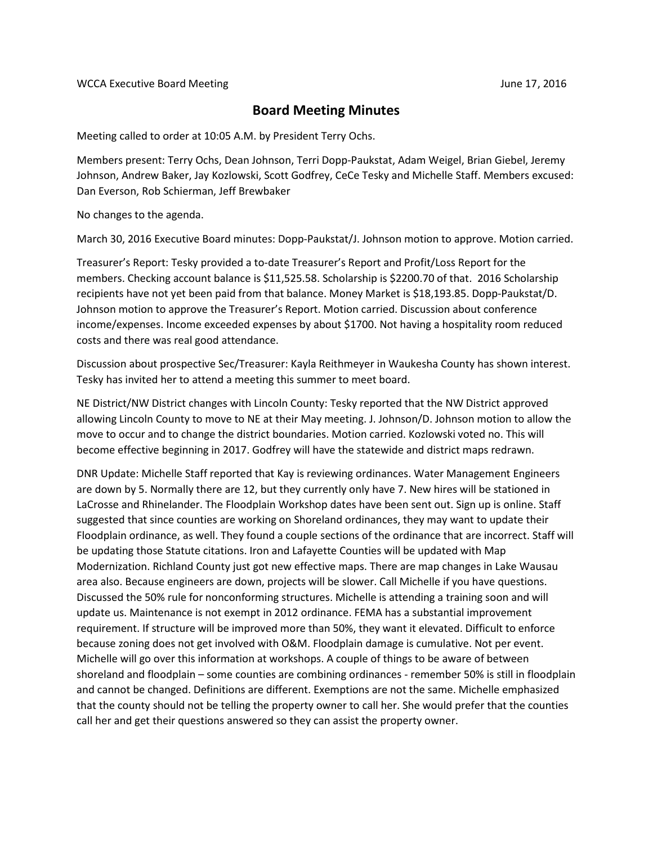## **Board Meeting Minutes**

Meeting called to order at 10:05 A.M. by President Terry Ochs.

Members present: Terry Ochs, Dean Johnson, Terri Dopp-Paukstat, Adam Weigel, Brian Giebel, Jeremy Johnson, Andrew Baker, Jay Kozlowski, Scott Godfrey, CeCe Tesky and Michelle Staff. Members excused: Dan Everson, Rob Schierman, Jeff Brewbaker

No changes to the agenda.

March 30, 2016 Executive Board minutes: Dopp-Paukstat/J. Johnson motion to approve. Motion carried.

Treasurer's Report: Tesky provided a to-date Treasurer's Report and Profit/Loss Report for the members. Checking account balance is \$11,525.58. Scholarship is \$2200.70 of that. 2016 Scholarship recipients have not yet been paid from that balance. Money Market is \$18,193.85. Dopp-Paukstat/D. Johnson motion to approve the Treasurer's Report. Motion carried. Discussion about conference income/expenses. Income exceeded expenses by about \$1700. Not having a hospitality room reduced costs and there was real good attendance.

Discussion about prospective Sec/Treasurer: Kayla Reithmeyer in Waukesha County has shown interest. Tesky has invited her to attend a meeting this summer to meet board.

NE District/NW District changes with Lincoln County: Tesky reported that the NW District approved allowing Lincoln County to move to NE at their May meeting. J. Johnson/D. Johnson motion to allow the move to occur and to change the district boundaries. Motion carried. Kozlowski voted no. This will become effective beginning in 2017. Godfrey will have the statewide and district maps redrawn.

DNR Update: Michelle Staff reported that Kay is reviewing ordinances. Water Management Engineers are down by 5. Normally there are 12, but they currently only have 7. New hires will be stationed in LaCrosse and Rhinelander. The Floodplain Workshop dates have been sent out. Sign up is online. Staff suggested that since counties are working on Shoreland ordinances, they may want to update their Floodplain ordinance, as well. They found a couple sections of the ordinance that are incorrect. Staff will be updating those Statute citations. Iron and Lafayette Counties will be updated with Map Modernization. Richland County just got new effective maps. There are map changes in Lake Wausau area also. Because engineers are down, projects will be slower. Call Michelle if you have questions. Discussed the 50% rule for nonconforming structures. Michelle is attending a training soon and will update us. Maintenance is not exempt in 2012 ordinance. FEMA has a substantial improvement requirement. If structure will be improved more than 50%, they want it elevated. Difficult to enforce because zoning does not get involved with O&M. Floodplain damage is cumulative. Not per event. Michelle will go over this information at workshops. A couple of things to be aware of between shoreland and floodplain – some counties are combining ordinances - remember 50% is still in floodplain and cannot be changed. Definitions are different. Exemptions are not the same. Michelle emphasized that the county should not be telling the property owner to call her. She would prefer that the counties call her and get their questions answered so they can assist the property owner.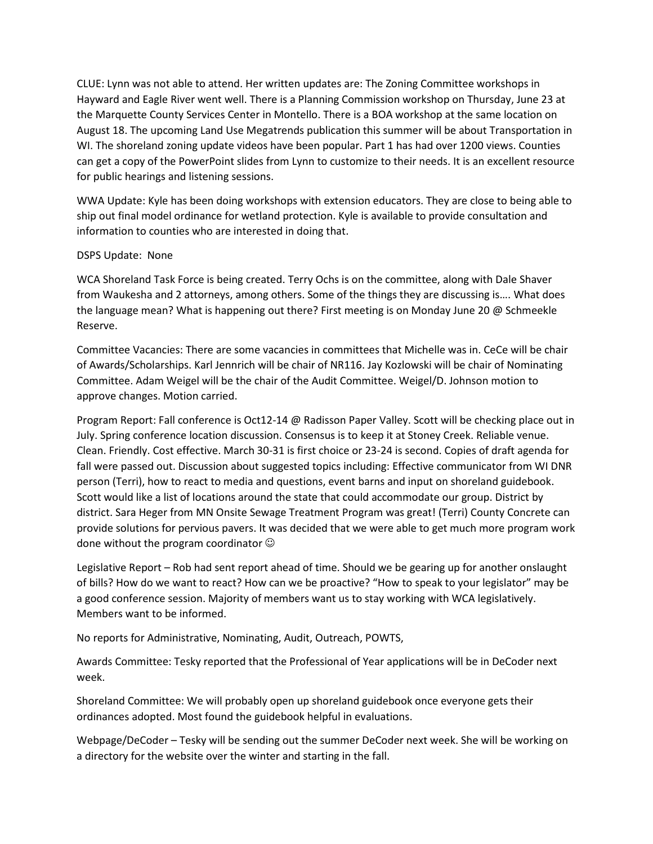CLUE: Lynn was not able to attend. Her written updates are: The Zoning Committee workshops in Hayward and Eagle River went well. There is a Planning Commission workshop on Thursday, June 23 at the Marquette County Services Center in Montello. There is a BOA workshop at the same location on August 18. The upcoming Land Use Megatrends publication this summer will be about Transportation in WI. The shoreland zoning update videos have been popular. Part 1 has had over 1200 views. Counties can get a copy of the PowerPoint slides from Lynn to customize to their needs. It is an excellent resource for public hearings and listening sessions.

WWA Update: Kyle has been doing workshops with extension educators. They are close to being able to ship out final model ordinance for wetland protection. Kyle is available to provide consultation and information to counties who are interested in doing that.

## DSPS Update: None

WCA Shoreland Task Force is being created. Terry Ochs is on the committee, along with Dale Shaver from Waukesha and 2 attorneys, among others. Some of the things they are discussing is…. What does the language mean? What is happening out there? First meeting is on Monday June 20 @ Schmeekle Reserve.

Committee Vacancies: There are some vacancies in committees that Michelle was in. CeCe will be chair of Awards/Scholarships. Karl Jennrich will be chair of NR116. Jay Kozlowski will be chair of Nominating Committee. Adam Weigel will be the chair of the Audit Committee. Weigel/D. Johnson motion to approve changes. Motion carried.

Program Report: Fall conference is Oct12-14 @ Radisson Paper Valley. Scott will be checking place out in July. Spring conference location discussion. Consensus is to keep it at Stoney Creek. Reliable venue. Clean. Friendly. Cost effective. March 30-31 is first choice or 23-24 is second. Copies of draft agenda for fall were passed out. Discussion about suggested topics including: Effective communicator from WI DNR person (Terri), how to react to media and questions, event barns and input on shoreland guidebook. Scott would like a list of locations around the state that could accommodate our group. District by district. Sara Heger from MN Onsite Sewage Treatment Program was great! (Terri) County Concrete can provide solutions for pervious pavers. It was decided that we were able to get much more program work done without the program coordinator  $\odot$ 

Legislative Report – Rob had sent report ahead of time. Should we be gearing up for another onslaught of bills? How do we want to react? How can we be proactive? "How to speak to your legislator" may be a good conference session. Majority of members want us to stay working with WCA legislatively. Members want to be informed.

No reports for Administrative, Nominating, Audit, Outreach, POWTS,

Awards Committee: Tesky reported that the Professional of Year applications will be in DeCoder next week.

Shoreland Committee: We will probably open up shoreland guidebook once everyone gets their ordinances adopted. Most found the guidebook helpful in evaluations.

Webpage/DeCoder – Tesky will be sending out the summer DeCoder next week. She will be working on a directory for the website over the winter and starting in the fall.